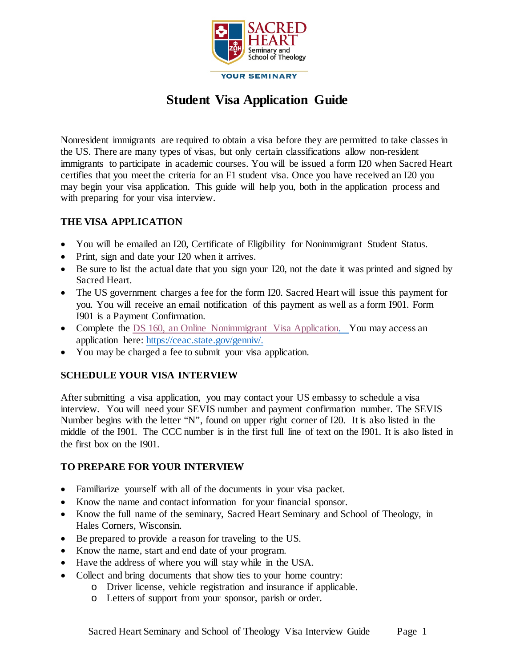

# **Student Visa Application Guide**

Nonresident immigrants are required to obtain a visa before they are permitted to take classes in the US. There are many types of visas, but only certain classifications allow non-resident immigrants to participate in academic courses. You will be issued a form I20 when Sacred Heart certifies that you meet the criteria for an F1 student visa. Once you have received an I20 you may begin your visa application. This guide will help you, both in the application process and with preparing for your visa interview.

#### **THE VISA APPLICATION**

- You will be emailed an I20, Certificate of Eligibility for Nonimmigrant Student Status.
- Print, sign and date your I20 when it arrives.
- Be sure to list the actual date that you sign your I20, not the date it was printed and signed by Sacred Heart.
- The US government charges a fee for the form I20. Sacred Heart will issue this payment for you. You will receive an email notification of this payment as well as a form I901. Form I901 is a Payment Confirmation.
- Complete the [DS 160, an Online Nonimmigrant Visa Application.](https://ceac.state.gov/genniv/) You may access an application here: [https://ceac.state.gov/genniv/.](https://ceac.state.gov/genniv/)
- You may be charged a fee to submit your visa application.

## **SCHEDULE YOUR VISA INTERVIEW**

After submitting a visa application, you may contact your US embassy to schedule a visa interview. You will need your SEVIS number and payment confirmation number. The SEVIS Number begins with the letter "N", found on upper right corner of I20. It is also listed in the middle of the I901. The CCC number is in the first full line of text on the I901. It is also listed in the first box on the I901.

## **TO PREPARE FOR YOUR INTERVIEW**

- Familiarize yourself with all of the documents in your visa packet.
- Know the name and contact information for your financial sponsor.
- Know the full name of the seminary, Sacred Heart Seminary and School of Theology, in Hales Corners, Wisconsin.
- Be prepared to provide a reason for traveling to the US.
- Know the name, start and end date of your program.
- Have the address of where you will stay while in the USA.
- Collect and bring documents that show ties to your home country:
	- o Driver license, vehicle registration and insurance if applicable.
	- o Letters of support from your sponsor, parish or order.